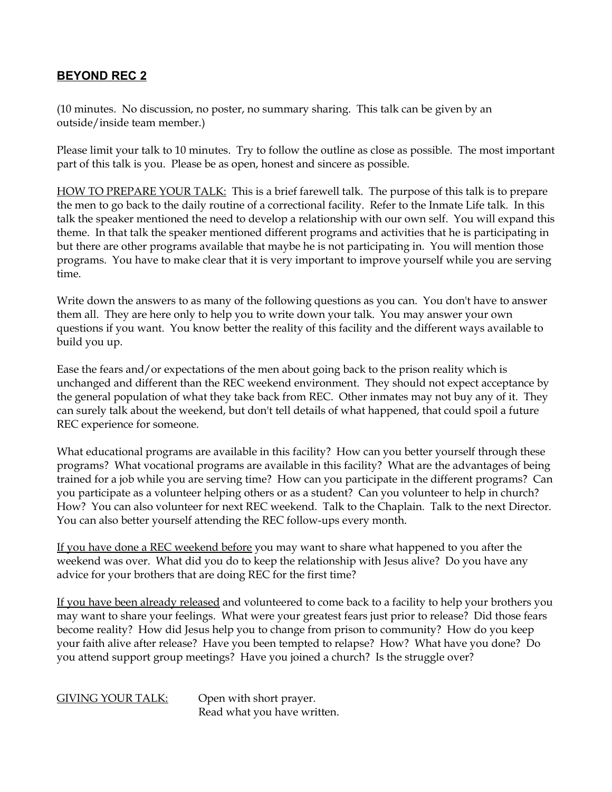## **BEYOND REC 2**

(10 minutes. No discussion, no poster, no summary sharing. This talk can be given by an outside/inside team member.)

Please limit your talk to 10 minutes. Try to follow the outline as close as possible. The most important part of this talk is you. Please be as open, honest and sincere as possible.

HOW TO PREPARE YOUR TALK: This is a brief farewell talk. The purpose of this talk is to prepare the men to go back to the daily routine of a correctional facility. Refer to the Inmate Life talk. In this talk the speaker mentioned the need to develop a relationship with our own self. You will expand this theme. In that talk the speaker mentioned different programs and activities that he is participating in but there are other programs available that maybe he is not participating in. You will mention those programs. You have to make clear that it is very important to improve yourself while you are serving time.

Write down the answers to as many of the following questions as you can. You don't have to answer them all. They are here only to help you to write down your talk. You may answer your own questions if you want. You know better the reality of this facility and the different ways available to build you up.

Ease the fears and/or expectations of the men about going back to the prison reality which is unchanged and different than the REC weekend environment. They should not expect acceptance by the general population of what they take back from REC. Other inmates may not buy any of it. They can surely talk about the weekend, but don't tell details of what happened, that could spoil a future REC experience for someone.

What educational programs are available in this facility? How can you better yourself through these programs? What vocational programs are available in this facility? What are the advantages of being trained for a job while you are serving time? How can you participate in the different programs? Can you participate as a volunteer helping others or as a student? Can you volunteer to help in church? How? You can also volunteer for next REC weekend. Talk to the Chaplain. Talk to the next Director. You can also better yourself attending the REC follow-ups every month.

If you have done a REC weekend before you may want to share what happened to you after the weekend was over. What did you do to keep the relationship with Jesus alive? Do you have any advice for your brothers that are doing REC for the first time?

If you have been already released and volunteered to come back to a facility to help your brothers you may want to share your feelings. What were your greatest fears just prior to release? Did those fears become reality? How did Jesus help you to change from prison to community? How do you keep your faith alive after release? Have you been tempted to relapse? How? What have you done? Do you attend support group meetings? Have you joined a church? Is the struggle over?

## GIVING YOUR TALK: Open with short prayer.

Read what you have written.